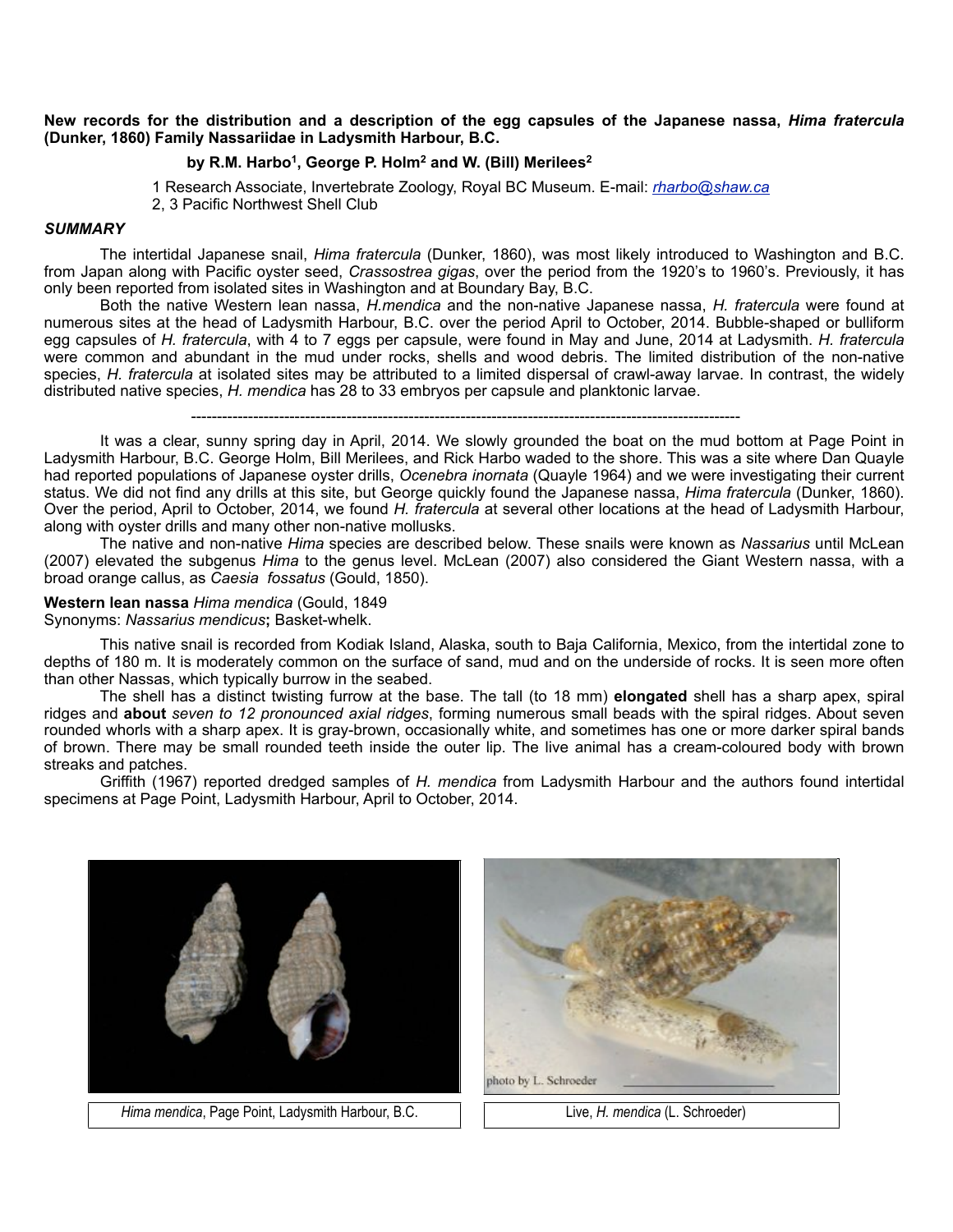## **New records for the distribution and a description of the egg capsules of the Japanese nassa,** *Hima fratercula* **(Dunker, 1860) Family Nassariidae in Ladysmith Harbour, B.C.**

# **by R.M. Harbo1, George P. Holm2 and W. (Bill) Merilees2**

 1 Research Associate, Invertebrate Zoology, Royal BC Museum. E-mail: *[rharbo@shaw.ca](mailto:rharbo@shaw.ca)* 2, 3 Pacific Northwest Shell Club

### *SUMMARY*

The intertidal Japanese snail, *Hima fratercula* (Dunker, 1860), was most likely introduced to Washington and B.C. from Japan along with Pacific oyster seed, *Crassostrea gigas*, over the period from the 1920's to 1960's. Previously, it has only been reported from isolated sites in Washington and at Boundary Bay, B.C.

 Both the native Western lean nassa, *H.mendica* and the non-native Japanese nassa, *H. fratercula* were found at numerous sites at the head of Ladysmith Harbour, B.C. over the period April to October, 2014. Bubble-shaped or bulliform egg capsules of *H. fratercula*, with 4 to 7 eggs per capsule, were found in May and June, 2014 at Ladysmith. *H. fratercula* were common and abundant in the mud under rocks, shells and wood debris. The limited distribution of the non-native species, *H. fratercula* at isolated sites may be attributed to a limited dispersal of crawl-away larvae. In contrast, the widely distributed native species, *H. mendica* has 28 to 33 embryos per capsule and planktonic larvae.

----------------------------------------------------------------------------------------------------------

 It was a clear, sunny spring day in April, 2014. We slowly grounded the boat on the mud bottom at Page Point in Ladysmith Harbour, B.C. George Holm, Bill Merilees, and Rick Harbo waded to the shore. This was a site where Dan Quayle had reported populations of Japanese oyster drills, *Ocenebra inornata* (Quayle 1964) and we were investigating their current status. We did not find any drills at this site, but George quickly found the Japanese nassa, *Hima fratercula* (Dunker, 1860). Over the period, April to October, 2014, we found *H. fratercula* at several other locations at the head of Ladysmith Harbour, along with oyster drills and many other non-native mollusks.

 The native and non-native *Hima* species are described below. These snails were known as *Nassarius* until McLean (2007) elevated the subgenus *Hima* to the genus level. McLean (2007) also considered the Giant Western nassa, with a broad orange callus, as *Caesia fossatus* (Gould, 1850).

#### **Western lean nassa** *Hima mendica* (Gould, 1849

### Synonyms: *Nassarius mendicus***;** Basket-whelk.

This native snail is recorded from Kodiak Island, Alaska, south to Baja California, Mexico, from the intertidal zone to depths of 180 m. It is moderately common on the surface of sand, mud and on the underside of rocks. It is seen more often than other Nassas, which typically burrow in the seabed.

 The shell has a distinct twisting furrow at the base. The tall (to 18 mm) **elongated** shell has a sharp apex, spiral ridges and **about** *seven to 12 pronounced axial ridges*, forming numerous small beads with the spiral ridges. About seven rounded whorls with a sharp apex. It is gray-brown, occasionally white, and sometimes has one or more darker spiral bands of brown. There may be small rounded teeth inside the outer lip. The live animal has a cream-coloured body with brown streaks and patches.

 Griffith (1967) reported dredged samples of *H. mendica* from Ladysmith Harbour and the authors found intertidal specimens at Page Point, Ladysmith Harbour, April to October, 2014.



 *Hima mendica*, Page Point, Ladysmith Harbour, B.C. Live, *H. mendica* (L. Schroeder)

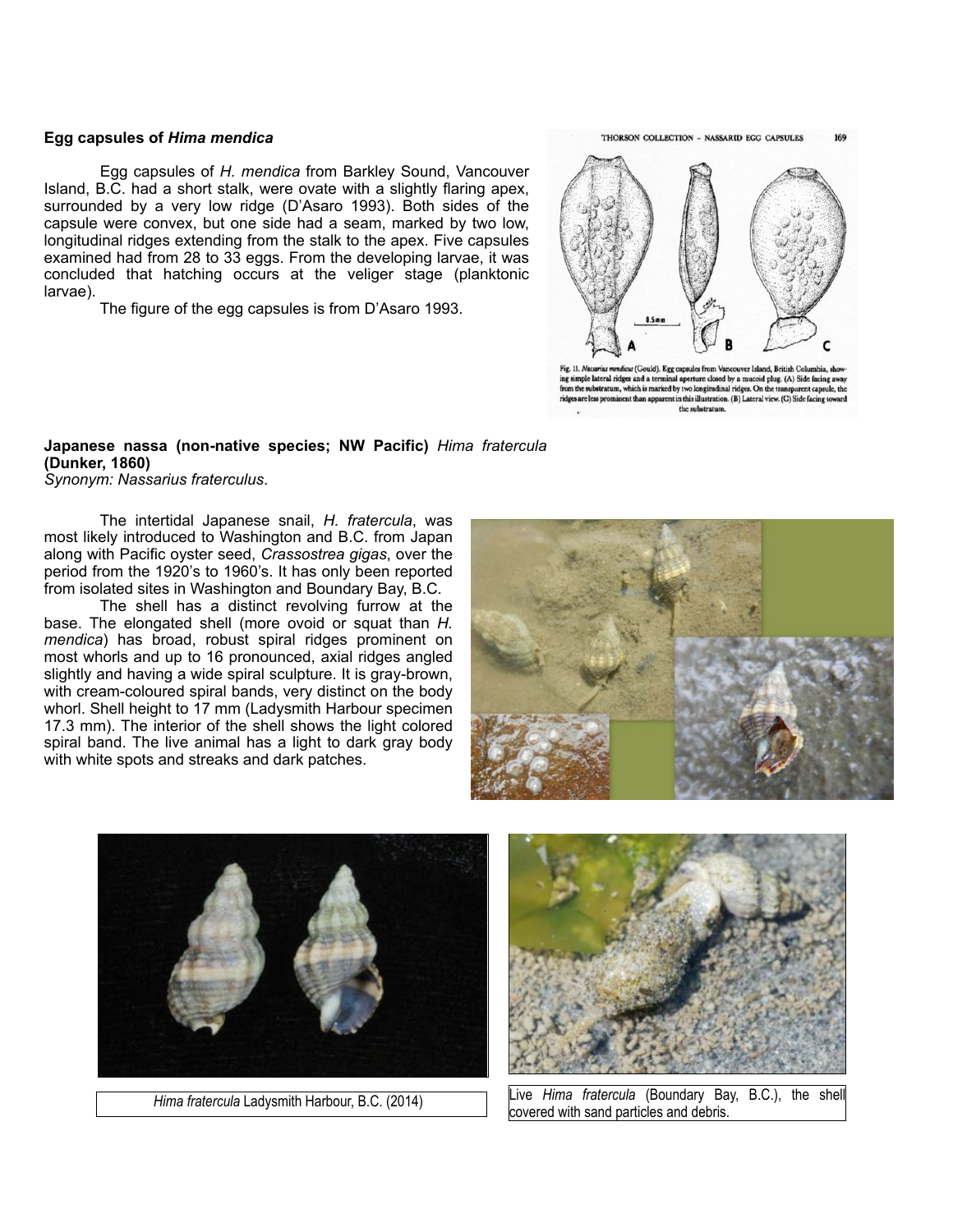## **Egg capsules of** *Hima mendica*

Egg capsules of *H. mendica* from Barkley Sound, Vancouver Island, B.C. had a short stalk, were ovate with a slightly flaring apex, surrounded by a very low ridge (D'Asaro 1993). Both sides of the capsule were convex, but one side had a seam, marked by two low, longitudinal ridges extending from the stalk to the apex. Five capsules examined had from 28 to 33 eggs. From the developing larvae, it was concluded that hatching occurs at the veliger stage (planktonic larvae).

The figure of the egg capsules is from D'Asaro 1993.

THORSON COLLECTION - NASSARID EGG CAPSULES 169



mendicus (Gould). Egg capsules fro ing simple lateral ridges and a terminal aperture closed by a mucoid plug. (A) Side facing a<br>from the substratum, which is marked by two longitudinal ridges. On the transparent capsule, ridges are less prominent than apparent in this illustration. (B) Lateral view. (C) Side fa the substratum.

# **Japanese nassa (non-native species; NW Pacific)** *Hima fratercula* **(Dunker, 1860)**

## *Synonym: Nassarius fraterculus*.

 The intertidal Japanese snail, *H. fratercula*, was most likely introduced to Washington and B.C. from Japan along with Pacific oyster seed, *Crassostrea gigas*, over the period from the 1920's to 1960's. It has only been reported from isolated sites in Washington and Boundary Bay, B.C.

 The shell has a distinct revolving furrow at the base. The elongated shell (more ovoid or squat than *H. mendica*) has broad, robust spiral ridges prominent on most whorls and up to 16 pronounced, axial ridges angled slightly and having a wide spiral sculpture. It is gray-brown, with cream-coloured spiral bands, very distinct on the body whorl. Shell height to 17 mm (Ladysmith Harbour specimen 17.3 mm). The interior of the shell shows the light colored spiral band. The live animal has a light to dark gray body with white spots and streaks and dark patches.







*Hima fratercula Ladysmith Harbour, B.C. (2014)* Live *Hima fratercula* (Boundary Bay, B.C.), the shell covered with sand particles and debris.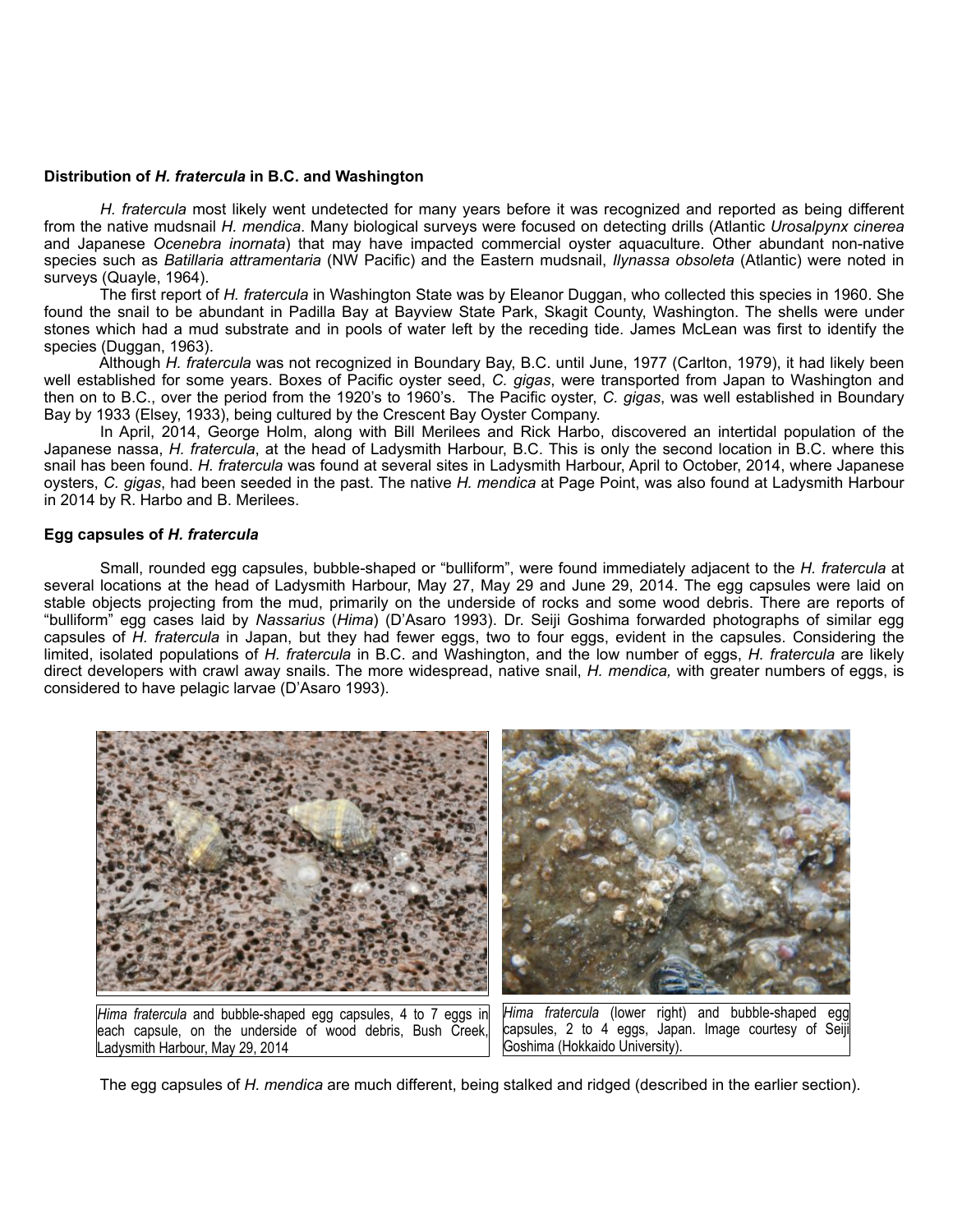### **Distribution of** *H. fratercula* **in B.C. and Washington**

*H. fratercula* most likely went undetected for many years before it was recognized and reported as being different from the native mudsnail *H. mendica*. Many biological surveys were focused on detecting drills (Atlantic *Urosalpynx cinerea* and Japanese *Ocenebra inornata*) that may have impacted commercial oyster aquaculture. Other abundant non-native species such as *Batillaria attramentaria* (NW Pacific) and the Eastern mudsnail, *Ilynassa obsoleta* (Atlantic) were noted in surveys (Quayle, 1964).

 The first report of *H. fratercula* in Washington State was by Eleanor Duggan, who collected this species in 1960. She found the snail to be abundant in Padilla Bay at Bayview State Park, Skagit County, Washington. The shells were under stones which had a mud substrate and in pools of water left by the receding tide. James McLean was first to identify the species (Duggan, 1963).

 Although *H. fratercula* was not recognized in Boundary Bay, B.C. until June, 1977 (Carlton, 1979), it had likely been well established for some years. Boxes of Pacific oyster seed, *C. gigas*, were transported from Japan to Washington and then on to B.C., over the period from the 1920's to 1960's. The Pacific oyster, *C. gigas*, was well established in Boundary Bay by 1933 (Elsey, 1933), being cultured by the Crescent Bay Oyster Company.

 In April, 2014, George Holm, along with Bill Merilees and Rick Harbo, discovered an intertidal population of the Japanese nassa, *H. fratercula*, at the head of Ladysmith Harbour, B.C. This is only the second location in B.C. where this snail has been found. *H. fratercula* was found at several sites in Ladysmith Harbour, April to October, 2014, where Japanese oysters, *C. gigas*, had been seeded in the past. The native *H. mendica* at Page Point, was also found at Ladysmith Harbour in 2014 by R. Harbo and B. Merilees.

## **Egg capsules of** *H. fratercula*

Small, rounded egg capsules, bubble-shaped or "bulliform", were found immediately adjacent to the *H. fratercula* at several locations at the head of Ladysmith Harbour, May 27, May 29 and June 29, 2014. The egg capsules were laid on stable objects projecting from the mud, primarily on the underside of rocks and some wood debris. There are reports of "bulliform" egg cases laid by *Nassarius* (*Hima*) (D'Asaro 1993). Dr. Seiji Goshima forwarded photographs of similar egg capsules of *H. fratercula* in Japan, but they had fewer eggs, two to four eggs, evident in the capsules. Considering the limited, isolated populations of *H. fratercula* in B.C. and Washington, and the low number of eggs, *H. fratercula* are likely direct developers with crawl away snails. The more widespread, native snail, *H. mendica,* with greater numbers of eggs, is considered to have pelagic larvae (D'Asaro 1993).



The egg capsules of *H. mendica* are much different, being stalked and ridged (described in the earlier section).